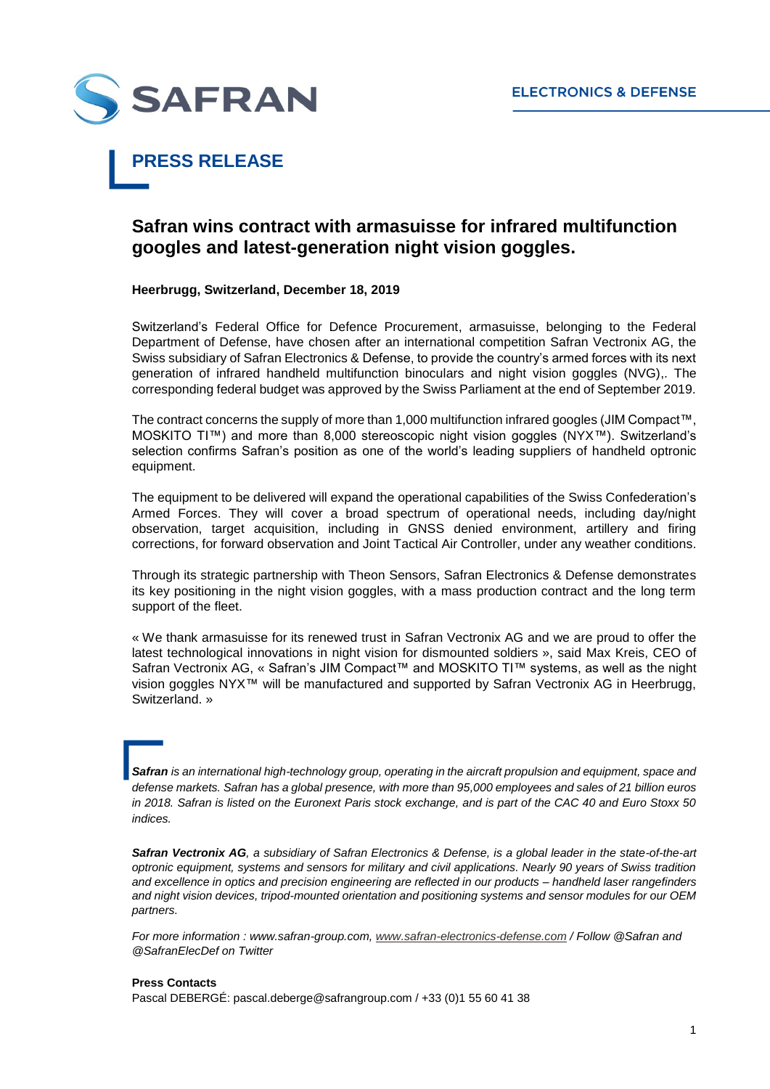

## **PRESS RELEASE**

## **Safran wins contract with armasuisse for infrared multifunction googles and latest-generation night vision goggles.**

**Heerbrugg, Switzerland, December 18, 2019**

Switzerland's Federal Office for Defence Procurement, armasuisse, belonging to the Federal Department of Defense, have chosen after an international competition Safran Vectronix AG, the Swiss subsidiary of Safran Electronics & Defense, to provide the country's armed forces with its next generation of infrared handheld multifunction binoculars and night vision goggles (NVG),. The corresponding federal budget was approved by the Swiss Parliament at the end of September 2019.

The contract concerns the supply of more than 1,000 multifunction infrared googles (JIM Compact™, MOSKITO TI™) and more than 8,000 stereoscopic night vision goggles (NYX™). Switzerland's selection confirms Safran's position as one of the world's leading suppliers of handheld optronic equipment.

The equipment to be delivered will expand the operational capabilities of the Swiss Confederation's Armed Forces. They will cover a broad spectrum of operational needs, including day/night observation, target acquisition, including in GNSS denied environment, artillery and firing corrections, for forward observation and Joint Tactical Air Controller, under any weather conditions.

Through its strategic partnership with Theon Sensors, Safran Electronics & Defense demonstrates its key positioning in the night vision goggles, with a mass production contract and the long term support of the fleet.

« We thank armasuisse for its renewed trust in Safran Vectronix AG and we are proud to offer the latest technological innovations in night vision for dismounted soldiers », said Max Kreis, CEO of Safran Vectronix AG, « Safran's JIM Compact™ and MOSKITO TI™ systems, as well as the night vision goggles NYX™ will be manufactured and supported by Safran Vectronix AG in Heerbrugg, Switzerland. »

*Safran is an international high-technology group, operating in the aircraft propulsion and equipment, space and defense markets. Safran has a global presence, with more than 95,000 employees and sales of 21 billion euros in 2018. Safran is listed on the Euronext Paris stock exchange, and is part of the CAC 40 and Euro Stoxx 50 indices.*

*Safran Vectronix AG, a subsidiary of Safran Electronics & Defense, is a global leader in the state-of-the-art optronic equipment, systems and sensors for military and civil applications. Nearly 90 years of Swiss tradition and excellence in optics and precision engineering are reflected in our products – handheld laser rangefinders and night vision devices, tripod-mounted orientation and positioning systems and sensor modules for our OEM partners.*

*For more information : www.safran-group.com[, www.safran-electronics-defense.com](http://www.safran-electronics-defense.com/) / Follow @Safran and @SafranElecDef on Twitter*

## **Press Contacts**

Pascal DEBERGÉ: pascal.deberge@safrangroup.com / +33 (0)1 55 60 41 38